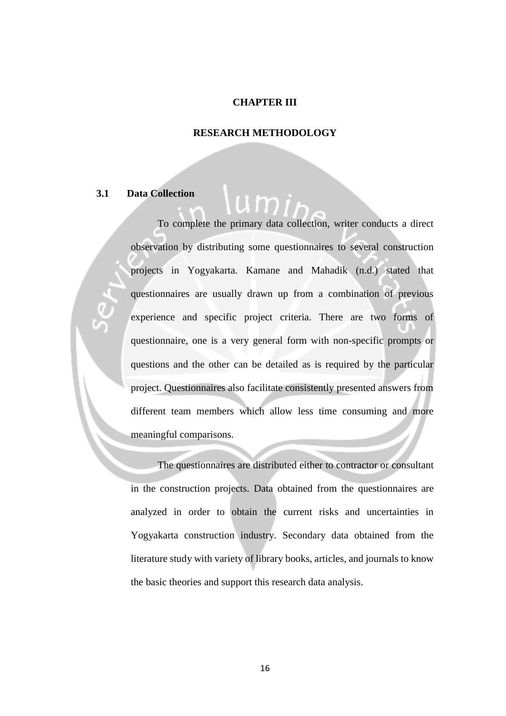#### **CHAPTER III**

#### **RESEARCH METHODOLOGY**

# **3.1 Data Collection**

To complete the primary data collection, writer conducts a direct observation by distributing some questionnaires to several construction projects in Yogyakarta. Kamane and Mahadik (n.d.) stated that questionnaires are usually drawn up from a combination of previous experience and specific project criteria. There are two forms of questionnaire, one is a very general form with non-specific prompts or questions and the other can be detailed as is required by the particular project. Questionnaires also facilitate consistently presented answers from different team members which allow less time consuming and more meaningful comparisons.

The questionnaires are distributed either to contractor or consultant in the construction projects. Data obtained from the questionnaires are analyzed in order to obtain the current risks and uncertainties in Yogyakarta construction industry. Secondary data obtained from the literature study with variety of library books, articles, and journals to know the basic theories and support this research data analysis.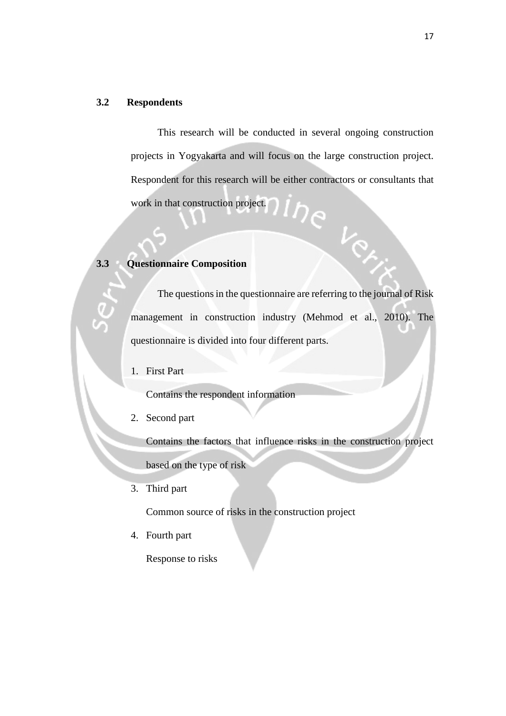## **3.2 Respondents**

This research will be conducted in several ongoing construction projects in Yogyakarta and will focus on the large construction project. Respondent for this research will be either contractors or consultants that  $i_{\mathcal{D}_{\mathcal{C}}}$ work in that construction project.

 $V_{\odot}$ 

# **3.3 Questionnaire Composition**

The questions in the questionnaire are referring to the journal of Risk management in construction industry (Mehmod et al., 2010). The questionnaire is divided into four different parts.

1. First Part

Contains the respondent information

2. Second part

Contains the factors that influence risks in the construction project

based on the type of risk

3. Third part

Common source of risks in the construction project

4. Fourth part

Response to risks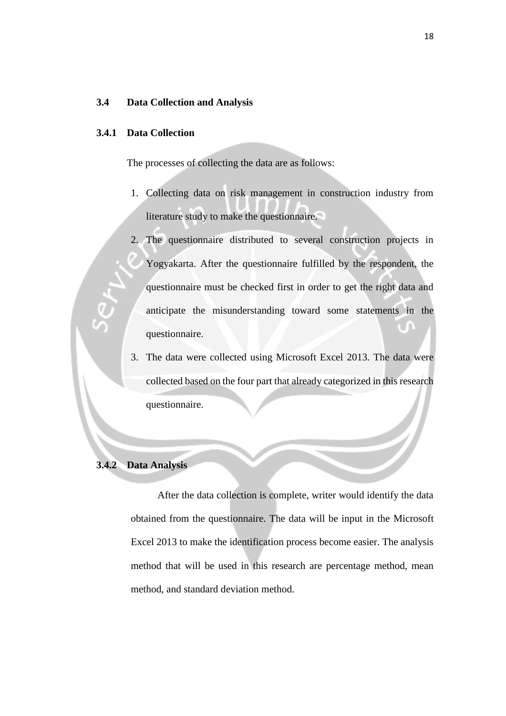#### **3.4 Data Collection and Analysis**

#### **3.4.1 Data Collection**

The processes of collecting the data are as follows:

- 1. Collecting data on risk management in construction industry from literature study to make the questionnaire.
- 2. The questionnaire distributed to several construction projects in Yogyakarta. After the questionnaire fulfilled by the respondent, the questionnaire must be checked first in order to get the right data and anticipate the misunderstanding toward some statements in the questionnaire.
- 3. The data were collected using Microsoft Excel 2013. The data were collected based on the four part that already categorized in this research questionnaire.

# **3.4.2 Data Analysis**

 After the data collection is complete, writer would identify the data obtained from the questionnaire. The data will be input in the Microsoft Excel 2013 to make the identification process become easier. The analysis method that will be used in this research are percentage method, mean method, and standard deviation method.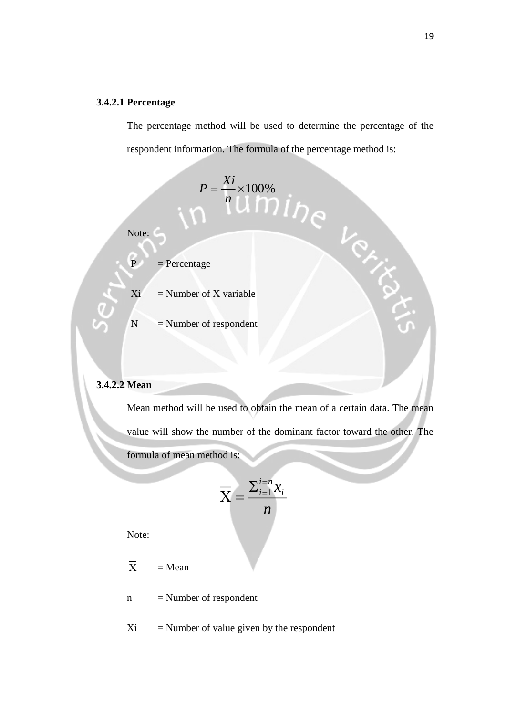### **3.4.2.1 Percentage**

The percentage method will be used to determine the percentage of the respondent information. The formula of the percentage method is:

 $=\frac{1}{2} \times 100\%$ 

*n*

 $P = \frac{Xi}{A}$ 



 $P = Percentage$ 

 $Xi$  = Number of X variable

 $N =$  Number of respondent

### **3.4.2.2 Mean**

Mean method will be used to obtain the mean of a certain data. The mean value will show the number of the dominant factor toward the other. The formula of mean method is:

$$
\overline{\mathbf{X}} = \frac{\sum_{i=1}^{i=n} x_i}{n}
$$

Note:

- $\overline{\mathbf{x}}$  $=$  Mean
- $n =$  Number of respondent
- $Xi$  = Number of value given by the respondent